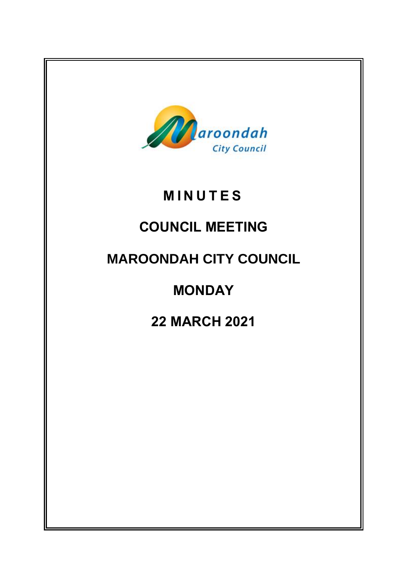

# **M I N U T E S**

# **COUNCIL MEETING**

## **MAROONDAH CITY COUNCIL**

# **MONDAY**

## **22 MARCH 2021**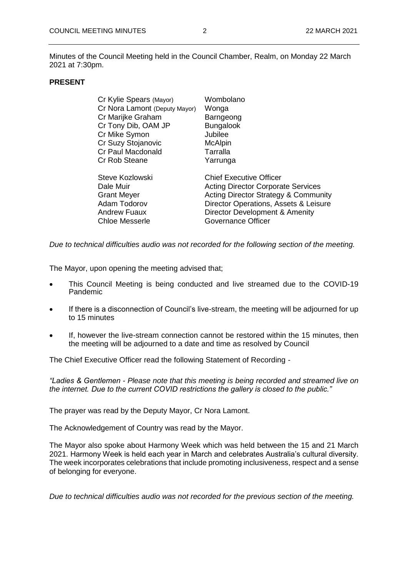Minutes of the Council Meeting held in the Council Chamber, Realm, on Monday 22 March 2021 at 7:30pm.

## **PRESENT**

| Cr Kylie Spears (Mayor)       | Wombolano                                       |
|-------------------------------|-------------------------------------------------|
| Cr Nora Lamont (Deputy Mayor) | Wonga                                           |
| Cr Marijke Graham             | Barngeong                                       |
| Cr Tony Dib, OAM JP           | <b>Bungalook</b>                                |
| Cr Mike Symon                 | Jubilee                                         |
| Cr Suzy Stojanovic            | <b>McAlpin</b>                                  |
| Cr Paul Macdonald             | Tarralla                                        |
| Cr Rob Steane                 | Yarrunga                                        |
| Steve Kozlowski               | <b>Chief Executive Officer</b>                  |
| Dale Muir                     | <b>Acting Director Corporate Services</b>       |
| <b>Grant Meyer</b>            | <b>Acting Director Strategy &amp; Community</b> |
| Adam Todorov                  | Director Operations, Assets & Leisure           |
| <b>Andrew Fuaux</b>           | Director Development & Amenity                  |
| <b>Chloe Messerle</b>         | Governance Officer                              |
|                               |                                                 |

*Due to technical difficulties audio was not recorded for the following section of the meeting.* 

The Mayor, upon opening the meeting advised that;

- This Council Meeting is being conducted and live streamed due to the COVID-19 Pandemic
- If there is a disconnection of Council's live-stream, the meeting will be adjourned for up to 15 minutes
- If, however the live-stream connection cannot be restored within the 15 minutes, then the meeting will be adjourned to a date and time as resolved by Council

The Chief Executive Officer read the following Statement of Recording -

*"Ladies & Gentlemen - Please note that this meeting is being recorded and streamed live on the internet. Due to the current COVID restrictions the gallery is closed to the public."*

The prayer was read by the Deputy Mayor, Cr Nora Lamont.

The Acknowledgement of Country was read by the Mayor.

The Mayor also spoke about Harmony Week which was held between the 15 and 21 March 2021. Harmony Week is held each year in March and celebrates Australia's cultural diversity. The week incorporates celebrations that include promoting inclusiveness, respect and a sense of belonging for everyone.

*Due to technical difficulties audio was not recorded for the previous section of the meeting.*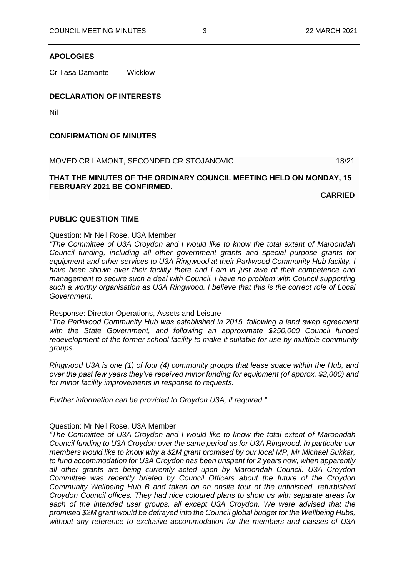#### **APOLOGIES**

Cr Tasa Damante Wicklow

## **DECLARATION OF INTERESTS**

Nil

#### **CONFIRMATION OF MINUTES**

MOVED CR LAMONT, SECONDED CR STOJANOVIC 18/21

## **THAT THE MINUTES OF THE ORDINARY COUNCIL MEETING HELD ON MONDAY, 15 FEBRUARY 2021 BE CONFIRMED.**

**CARRIED**

#### **PUBLIC QUESTION TIME**

#### Question: Mr Neil Rose, U3A Member

*"The Committee of U3A Croydon and I would like to know the total extent of Maroondah Council funding, including all other government grants and special purpose grants for equipment and other services to U3A Ringwood at their Parkwood Community Hub facility. I have been shown over their facility there and I am in just awe of their competence and management to secure such a deal with Council. I have no problem with Council supporting such a worthy organisation as U3A Ringwood. I believe that this is the correct role of Local Government.* 

#### Response: Director Operations, Assets and Leisure

*"The Parkwood Community Hub was established in 2015, following a land swap agreement with the State Government, and following an approximate \$250,000 Council funded redevelopment of the former school facility to make it suitable for use by multiple community groups.*

*Ringwood U3A is one (1) of four (4) community groups that lease space within the Hub, and over the past few years they've received minor funding for equipment (of approx. \$2,000) and for minor facility improvements in response to requests.*

*Further information can be provided to Croydon U3A, if required."*

#### Question: Mr Neil Rose, U3A Member

*"The Committee of U3A Croydon and I would like to know the total extent of Maroondah Council funding to U3A Croydon over the same period as for U3A Ringwood. In particular our members would like to know why a \$2M grant promised by our local MP, Mr Michael Sukkar, to fund accommodation for U3A Croydon has been unspent for 2 years now, when apparently all other grants are being currently acted upon by Maroondah Council. U3A Croydon Committee was recently briefed by Council Officers about the future of the Croydon Community Wellbeing Hub B and taken on an onsite tour of the unfinished, refurbished Croydon Council offices. They had nice coloured plans to show us with separate areas for* each of the intended user groups, all except U3A Croydon. We were advised that the *promised \$2M grant would be defrayed into the Council global budget for the Wellbeing Hubs, without any reference to exclusive accommodation for the members and classes of U3A*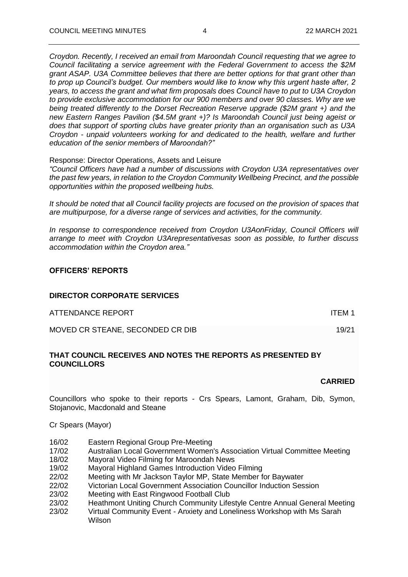*Croydon. Recently, I received an email from Maroondah Council requesting that we agree to Council facilitating a service agreement with the Federal Government to access the \$2M grant ASAP. U3A Committee believes that there are better options for that grant other than to prop up Council's budget. Our members would like to know why this urgent haste after, 2 years, to access the grant and what firm proposals does Council have to put to U3A Croydon to provide exclusive accommodation for our 900 members and over 90 classes. Why are we being treated differently to the Dorset Recreation Reserve upgrade (\$2M grant +) and the new Eastern Ranges Pavilion (\$4.5M grant +)? Is Maroondah Council just being ageist or does that support of sporting clubs have greater priority than an organisation such as U3A Croydon - unpaid volunteers working for and dedicated to the health, welfare and further education of the senior members of Maroondah?"*

Response: Director Operations, Assets and Leisure

*"Council Officers have had a number of discussions with Croydon U3A representatives over the past few years, in relation to the Croydon Community Wellbeing Precinct, and the possible opportunities within the proposed wellbeing hubs.*

*It should be noted that all Council facility projects are focused on the provision of spaces that are multipurpose, for a diverse range of services and activities, for the community.*

*In response to correspondence received from Croydon U3AonFriday, Council Officers will arrange to meet with Croydon U3Arepresentativesas soon as possible, to further discuss accommodation within the Croydon area."*

#### **OFFICERS' REPORTS**

## **DIRECTOR CORPORATE SERVICES**

| ATTENDANCE REPORT                | ITEM 1 |
|----------------------------------|--------|
| MOVED CR STEANE, SECONDED CR DIB | 19/21  |

## **THAT COUNCIL RECEIVES AND NOTES THE REPORTS AS PRESENTED BY COUNCILLORS**

#### **CARRIED**

Councillors who spoke to their reports - Crs Spears, Lamont, Graham, Dib, Symon, Stojanovic, Macdonald and Steane

Cr Spears (Mayor)

- 16/02 Eastern Regional Group Pre-Meeting
- 17/02 Australian Local Government Women's Association Virtual Committee Meeting
- 18/02 Mayoral Video Filming for Maroondah News
- 19/02 Mayoral Highland Games Introduction Video Filming
- 22/02 Meeting with Mr Jackson Taylor MP, State Member for Baywater
- 22/02 Victorian Local Government Association Councillor Induction Session
- 23/02 Meeting with East Ringwood Football Club
- 23/02 Heathmont Uniting Church Community Lifestyle Centre Annual General Meeting
- 23/02 Virtual Community Event Anxiety and Loneliness Workshop with Ms Sarah Wilson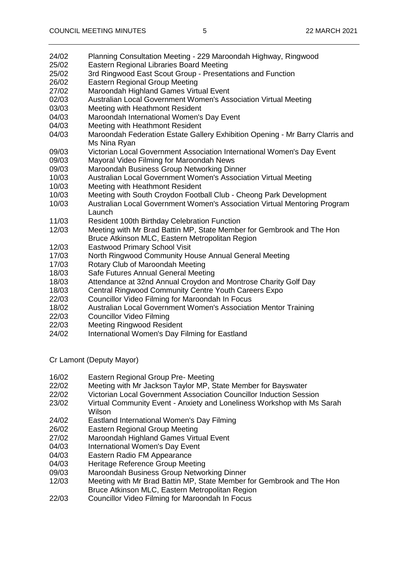- 24/02 Planning Consultation Meeting 229 Maroondah Highway, Ringwood
- 25/02 Eastern Regional Libraries Board Meeting
- 25/02 3rd Ringwood East Scout Group Presentations and Function
- 26/02 Eastern Regional Group Meeting
- 27/02 Maroondah Highland Games Virtual Event
- 02/03 Australian Local Government Women's Association Virtual Meeting
- 03/03 Meeting with Heathmont Resident
- 04/03 Maroondah International Women's Day Event
- 04/03 Meeting with Heathmont Resident
- 04/03 Maroondah Federation Estate Gallery Exhibition Opening Mr Barry Clarris and Ms Nina Ryan
- 09/03 Victorian Local Government Association International Women's Day Event
- 09/03 Mayoral Video Filming for Maroondah News
- 09/03 Maroondah Business Group Networking Dinner
- 10/03 Australian Local Government Women's Association Virtual Meeting
- 10/03 Meeting with Heathmont Resident
- 10/03 Meeting with South Croydon Football Club Cheong Park Development
- 10/03 Australian Local Government Women's Association Virtual Mentoring Program Launch
- 11/03 Resident 100th Birthday Celebration Function<br>12/03 Meeting with Mr Brad Battin MP. State Membe
- Meeting with Mr Brad Battin MP, State Member for Gembrook and The Hon Bruce Atkinson MLC, Eastern Metropolitan Region
- 12/03 Eastwood Primary School Visit
- 17/03 North Ringwood Community House Annual General Meeting
- 17/03 Rotary Club of Maroondah Meeting
- 18/03 Safe Futures Annual General Meeting
- 18/03 Attendance at 32nd Annual Croydon and Montrose Charity Golf Day
- 18/03 Central Ringwood Community Centre Youth Careers Expo
- 22/03 Councillor Video Filming for Maroondah In Focus
- 18/02 Australian Local Government Women's Association Mentor Training
- 22/03 Councillor Video Filming
- 22/03 Meeting Ringwood Resident
- 24/02 International Women's Day Filming for Eastland

Cr Lamont (Deputy Mayor)

- 16/02 Eastern Regional Group Pre- Meeting
- 22/02 Meeting with Mr Jackson Taylor MP, State Member for Bayswater
- 22/02 Victorian Local Government Association Councillor Induction Session
- 23/02 Virtual Community Event Anxiety and Loneliness Workshop with Ms Sarah Wilson
- 24/02 Eastland International Women's Day Filming
- 26/02 Eastern Regional Group Meeting
- 27/02 Maroondah Highland Games Virtual Event
- 04/03 International Women's Day Event
- 04/03 Eastern Radio FM Appearance
- 04/03 Heritage Reference Group Meeting
- 09/03 Maroondah Business Group Networking Dinner
- 12/03 Meeting with Mr Brad Battin MP, State Member for Gembrook and The Hon Bruce Atkinson MLC, Eastern Metropolitan Region
- 22/03 Councillor Video Filming for Maroondah In Focus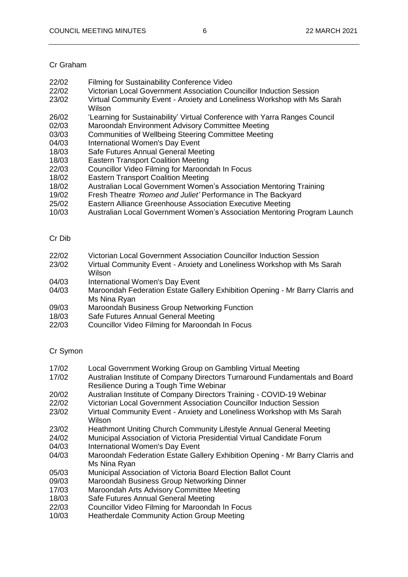## Cr Graham

- 22/02 Filming for Sustainability Conference Video
- 22/02 Victorian Local Government Association Councillor Induction Session
- 23/02 Virtual Community Event Anxiety and Loneliness Workshop with Ms Sarah Wilson
- 26/02 'Learning for Sustainability' Virtual Conference with Yarra Ranges Council
- 02/03 Maroondah Environment Advisory Committee Meeting
- 03/03 Communities of Wellbeing Steering Committee Meeting
- 04/03 International Women's Day Event
- 18/03 Safe Futures Annual General Meeting
- 18/03 Eastern Transport Coalition Meeting
- 22/03 Councillor Video Filming for Maroondah In Focus
- 18/02 Eastern Transport Coalition Meeting
- 18/02 Australian Local Government Women's Association Mentoring Training
- 19/02 Fresh Theatre *'Romeo and Juliet'* Performance in The Backyard
- 25/02 Eastern Alliance Greenhouse Association Executive Meeting
- 10/03 Australian Local Government Women's Association Mentoring Program Launch

## Cr Dib

- 22/02 Victorian Local Government Association Councillor Induction Session
- 23/02 Virtual Community Event Anxiety and Loneliness Workshop with Ms Sarah **Wilson**
- 04/03 International Women's Day Event<br>04/03 Maroondah Federation Estate Gal
- Maroondah Federation Estate Gallery Exhibition Opening Mr Barry Clarris and Ms Nina Ryan
- 09/03 Maroondah Business Group Networking Function
- 18/03 Safe Futures Annual General Meeting
- 22/03 Councillor Video Filming for Maroondah In Focus

## Cr Symon

- 17/02 Local Government Working Group on Gambling Virtual Meeting
- 17/02 Australian Institute of Company Directors Turnaround Fundamentals and Board Resilience During a Tough Time Webinar
- 20/02 Australian Institute of Company Directors Training COVID-19 Webinar
- 22/02 Victorian Local Government Association Councillor Induction Session
- 23/02 Virtual Community Event Anxiety and Loneliness Workshop with Ms Sarah Wilson
- 23/02 Heathmont Uniting Church Community Lifestyle Annual General Meeting
- 24/02 Municipal Association of Victoria Presidential Virtual Candidate Forum
- 04/03 International Women's Day Event
- 04/03 Maroondah Federation Estate Gallery Exhibition Opening Mr Barry Clarris and Ms Nina Ryan
- 05/03 Municipal Association of Victoria Board Election Ballot Count
- 09/03 Maroondah Business Group Networking Dinner
- 17/03 Maroondah Arts Advisory Committee Meeting
- 18/03 Safe Futures Annual General Meeting<br>22/03 Councillor Video Filming for Maroonda
- Councillor Video Filming for Maroondah In Focus
- 10/03 Heatherdale Community Action Group Meeting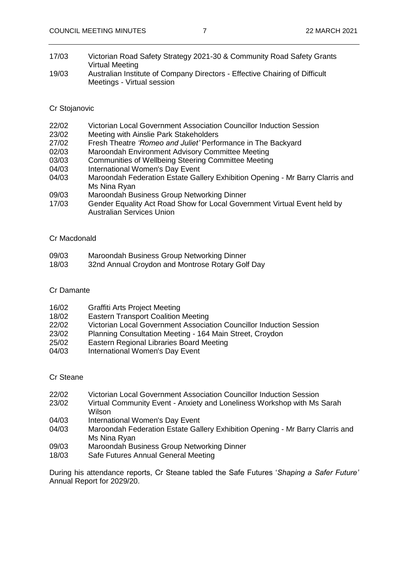- 17/03 Victorian Road Safety Strategy 2021-30 & Community Road Safety Grants Virtual Meeting
- 19/03 Australian Institute of Company Directors Effective Chairing of Difficult Meetings - Virtual session

#### Cr Stojanovic

- 22/02 Victorian Local Government Association Councillor Induction Session
- 23/02 Meeting with Ainslie Park Stakeholders
- 27/02 Fresh Theatre *'Romeo and Juliet'* Performance in The Backyard
- 02/03 Maroondah Environment Advisory Committee Meeting
- 03/03 Communities of Wellbeing Steering Committee Meeting
- 04/03 International Women's Day Event
- 04/03 Maroondah Federation Estate Gallery Exhibition Opening Mr Barry Clarris and Ms Nina Ryan
- 09/03 Maroondah Business Group Networking Dinner
- 17/03 Gender Equality Act Road Show for Local Government Virtual Event held by Australian Services Union

#### Cr Macdonald

- 09/03 Maroondah Business Group Networking Dinner
- 18/03 32nd Annual Croydon and Montrose Rotary Golf Day

#### Cr Damante

| 16/02 | <b>Graffiti Arts Project Meeting</b> |  |
|-------|--------------------------------------|--|
|-------|--------------------------------------|--|

- 18/02 Eastern Transport Coalition Meeting
- 22/02 Victorian Local Government Association Councillor Induction Session
- 23/02 Planning Consultation Meeting 164 Main Street, Croydon
- 25/02 Eastern Regional Libraries Board Meeting
- 04/03 International Women's Day Event

#### Cr Steane

- 22/02 Victorian Local Government Association Councillor Induction Session
- 23/02 Virtual Community Event Anxiety and Loneliness Workshop with Ms Sarah Wilson
- 04/03 International Women's Day Event
- 04/03 Maroondah Federation Estate Gallery Exhibition Opening Mr Barry Clarris and Ms Nina Ryan
- 09/03 Maroondah Business Group Networking Dinner
- 18/03 Safe Futures Annual General Meeting

During his attendance reports, Cr Steane tabled the Safe Futures '*Shaping a Safer Future'* Annual Report for 2029/20.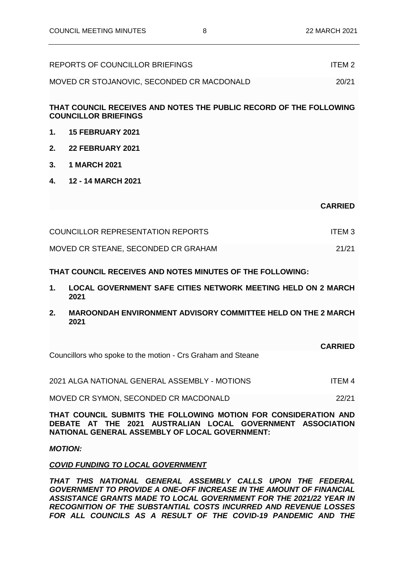|         | REPORTS OF COUNCILLOR BRIEFINGS                                                                   | ITFM <sub>2</sub> |
|---------|---------------------------------------------------------------------------------------------------|-------------------|
|         | MOVED CR STOJANOVIC, SECONDED CR MACDONALD                                                        | 20/21             |
|         | THAT COUNCIL RECEIVES AND NOTES THE PUBLIC RECORD OF THE FOLLOWING<br><b>COUNCILLOR BRIEFINGS</b> |                   |
| 1.      | <b>15 FEBRUARY 2021</b>                                                                           |                   |
| $2_{-}$ | <b>22 FEBRUARY 2021</b>                                                                           |                   |
| 3.      | <b>1 MARCH 2021</b>                                                                               |                   |

**4. 12 - 14 MARCH 2021**

**CARRIED**

| <b>COUNCILLOR REPRESENTATION REPORTS</b> |       |
|------------------------------------------|-------|
| MOVED CR STEANE, SECONDED CR GRAHAM      | 21/21 |

## **THAT COUNCIL RECEIVES AND NOTES MINUTES OF THE FOLLOWING:**

- **1. LOCAL GOVERNMENT SAFE CITIES NETWORK MEETING HELD ON 2 MARCH 2021**
- **2. MAROONDAH ENVIRONMENT ADVISORY COMMITTEE HELD ON THE 2 MARCH 2021**

|                                                             | <b>CARRIED</b> |
|-------------------------------------------------------------|----------------|
| Councillors who spoke to the motion - Crs Graham and Steane |                |

| 2021 ALGA NATIONAL GENERAL ASSEMBLY - MOTIONS | ITEM 4 |
|-----------------------------------------------|--------|
|                                               |        |

MOVED CR SYMON, SECONDED CR MACDONALD 22/21

**THAT COUNCIL SUBMITS THE FOLLOWING MOTION FOR CONSIDERATION AND DEBATE AT THE 2021 AUSTRALIAN LOCAL GOVERNMENT ASSOCIATION NATIONAL GENERAL ASSEMBLY OF LOCAL GOVERNMENT:**

#### *MOTION:*

#### *COVID FUNDING TO LOCAL GOVERNMENT*

*THAT THIS NATIONAL GENERAL ASSEMBLY CALLS UPON THE FEDERAL GOVERNMENT TO PROVIDE A ONE-OFF INCREASE IN THE AMOUNT OF FINANCIAL ASSISTANCE GRANTS MADE TO LOCAL GOVERNMENT FOR THE 2021/22 YEAR IN RECOGNITION OF THE SUBSTANTIAL COSTS INCURRED AND REVENUE LOSSES FOR ALL COUNCILS AS A RESULT OF THE COVID-19 PANDEMIC AND THE*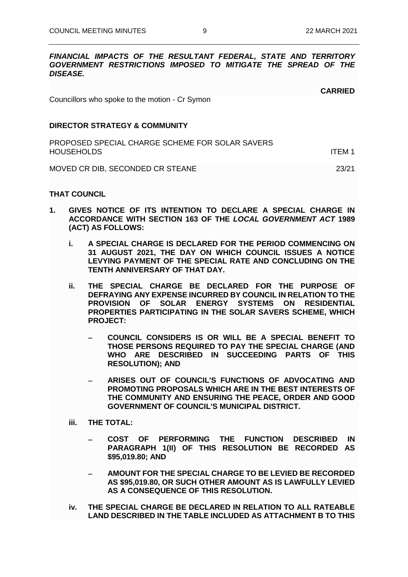#### *FINANCIAL IMPACTS OF THE RESULTANT FEDERAL, STATE AND TERRITORY GOVERNMENT RESTRICTIONS IMPOSED TO MITIGATE THE SPREAD OF THE DISEASE.*

**CARRIED**

Councillors who spoke to the motion - Cr Symon

#### **DIRECTOR STRATEGY & COMMUNITY**

| PROPOSED SPECIAL CHARGE SCHEME FOR SOLAR SAVERS<br><b>HOUSEHOLDS</b><br>ITFM 1 |       |
|--------------------------------------------------------------------------------|-------|
| MOVED CR DIB, SECONDED CR STEANE                                               | 23/21 |

#### **THAT COUNCIL**

- **1. GIVES NOTICE OF ITS INTENTION TO DECLARE A SPECIAL CHARGE IN ACCORDANCE WITH SECTION 163 OF THE** *LOCAL GOVERNMENT ACT* **1989 (ACT) AS FOLLOWS:** 
	- **i. A SPECIAL CHARGE IS DECLARED FOR THE PERIOD COMMENCING ON 31 AUGUST 2021, THE DAY ON WHICH COUNCIL ISSUES A NOTICE LEVYING PAYMENT OF THE SPECIAL RATE AND CONCLUDING ON THE TENTH ANNIVERSARY OF THAT DAY.**
	- **ii. THE SPECIAL CHARGE BE DECLARED FOR THE PURPOSE OF DEFRAYING ANY EXPENSE INCURRED BY COUNCIL IN RELATION TO THE PROVISION OF SOLAR ENERGY SYSTEMS ON RESIDENTIAL PROPERTIES PARTICIPATING IN THE SOLAR SAVERS SCHEME, WHICH PROJECT:**
		- − **COUNCIL CONSIDERS IS OR WILL BE A SPECIAL BENEFIT TO THOSE PERSONS REQUIRED TO PAY THE SPECIAL CHARGE (AND WHO ARE DESCRIBED IN SUCCEEDING PARTS OF THIS RESOLUTION); AND**
		- − **ARISES OUT OF COUNCIL'S FUNCTIONS OF ADVOCATING AND PROMOTING PROPOSALS WHICH ARE IN THE BEST INTERESTS OF THE COMMUNITY AND ENSURING THE PEACE, ORDER AND GOOD GOVERNMENT OF COUNCIL'S MUNICIPAL DISTRICT.**
	- **iii. THE TOTAL:**
		- − **COST OF PERFORMING THE FUNCTION DESCRIBED IN PARAGRAPH 1(II) OF THIS RESOLUTION BE RECORDED AS \$95,019.80; AND**
		- − **AMOUNT FOR THE SPECIAL CHARGE TO BE LEVIED BE RECORDED AS \$95,019.80, OR SUCH OTHER AMOUNT AS IS LAWFULLY LEVIED AS A CONSEQUENCE OF THIS RESOLUTION.**
	- **iv. THE SPECIAL CHARGE BE DECLARED IN RELATION TO ALL RATEABLE LAND DESCRIBED IN THE TABLE INCLUDED AS ATTACHMENT B TO THIS**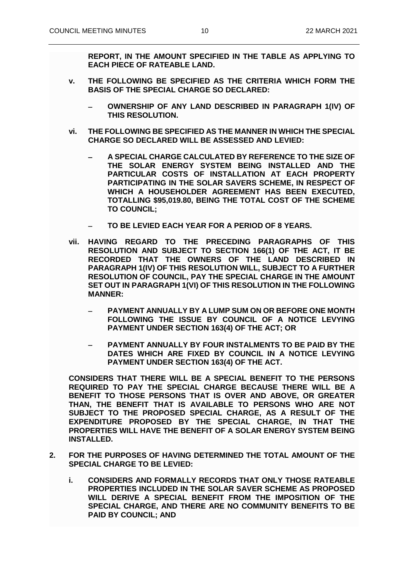**REPORT, IN THE AMOUNT SPECIFIED IN THE TABLE AS APPLYING TO EACH PIECE OF RATEABLE LAND.**

- **v. THE FOLLOWING BE SPECIFIED AS THE CRITERIA WHICH FORM THE BASIS OF THE SPECIAL CHARGE SO DECLARED:**
	- − **OWNERSHIP OF ANY LAND DESCRIBED IN PARAGRAPH 1(IV) OF THIS RESOLUTION.**
- **vi. THE FOLLOWING BE SPECIFIED AS THE MANNER IN WHICH THE SPECIAL CHARGE SO DECLARED WILL BE ASSESSED AND LEVIED:**
	- − **A SPECIAL CHARGE CALCULATED BY REFERENCE TO THE SIZE OF THE SOLAR ENERGY SYSTEM BEING INSTALLED AND THE PARTICULAR COSTS OF INSTALLATION AT EACH PROPERTY PARTICIPATING IN THE SOLAR SAVERS SCHEME, IN RESPECT OF WHICH A HOUSEHOLDER AGREEMENT HAS BEEN EXECUTED, TOTALLING \$95,019.80, BEING THE TOTAL COST OF THE SCHEME TO COUNCIL;**
	- − **TO BE LEVIED EACH YEAR FOR A PERIOD OF 8 YEARS.**
- **vii. HAVING REGARD TO THE PRECEDING PARAGRAPHS OF THIS RESOLUTION AND SUBJECT TO SECTION 166(1) OF THE ACT, IT BE RECORDED THAT THE OWNERS OF THE LAND DESCRIBED IN PARAGRAPH 1(IV) OF THIS RESOLUTION WILL, SUBJECT TO A FURTHER RESOLUTION OF COUNCIL, PAY THE SPECIAL CHARGE IN THE AMOUNT SET OUT IN PARAGRAPH 1(VI) OF THIS RESOLUTION IN THE FOLLOWING MANNER:**
	- − **PAYMENT ANNUALLY BY A LUMP SUM ON OR BEFORE ONE MONTH FOLLOWING THE ISSUE BY COUNCIL OF A NOTICE LEVYING PAYMENT UNDER SECTION 163(4) OF THE ACT; OR**
	- − **PAYMENT ANNUALLY BY FOUR INSTALMENTS TO BE PAID BY THE DATES WHICH ARE FIXED BY COUNCIL IN A NOTICE LEVYING PAYMENT UNDER SECTION 163(4) OF THE ACT.**

**CONSIDERS THAT THERE WILL BE A SPECIAL BENEFIT TO THE PERSONS REQUIRED TO PAY THE SPECIAL CHARGE BECAUSE THERE WILL BE A BENEFIT TO THOSE PERSONS THAT IS OVER AND ABOVE, OR GREATER THAN, THE BENEFIT THAT IS AVAILABLE TO PERSONS WHO ARE NOT SUBJECT TO THE PROPOSED SPECIAL CHARGE, AS A RESULT OF THE EXPENDITURE PROPOSED BY THE SPECIAL CHARGE, IN THAT THE PROPERTIES WILL HAVE THE BENEFIT OF A SOLAR ENERGY SYSTEM BEING INSTALLED.**

- **2. FOR THE PURPOSES OF HAVING DETERMINED THE TOTAL AMOUNT OF THE SPECIAL CHARGE TO BE LEVIED:**
	- **i. CONSIDERS AND FORMALLY RECORDS THAT ONLY THOSE RATEABLE PROPERTIES INCLUDED IN THE SOLAR SAVER SCHEME AS PROPOSED WILL DERIVE A SPECIAL BENEFIT FROM THE IMPOSITION OF THE SPECIAL CHARGE, AND THERE ARE NO COMMUNITY BENEFITS TO BE PAID BY COUNCIL; AND**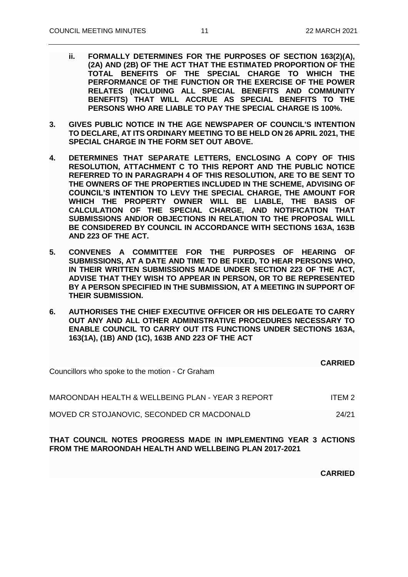- **ii. FORMALLY DETERMINES FOR THE PURPOSES OF SECTION 163(2)(A), (2A) AND (2B) OF THE ACT THAT THE ESTIMATED PROPORTION OF THE TOTAL BENEFITS OF THE SPECIAL CHARGE TO WHICH THE PERFORMANCE OF THE FUNCTION OR THE EXERCISE OF THE POWER RELATES (INCLUDING ALL SPECIAL BENEFITS AND COMMUNITY BENEFITS) THAT WILL ACCRUE AS SPECIAL BENEFITS TO THE PERSONS WHO ARE LIABLE TO PAY THE SPECIAL CHARGE IS 100%.**
- **3. GIVES PUBLIC NOTICE IN THE AGE NEWSPAPER OF COUNCIL'S INTENTION TO DECLARE, AT ITS ORDINARY MEETING TO BE HELD ON 26 APRIL 2021, THE SPECIAL CHARGE IN THE FORM SET OUT ABOVE.**
- **4. DETERMINES THAT SEPARATE LETTERS, ENCLOSING A COPY OF THIS RESOLUTION, ATTACHMENT C TO THIS REPORT AND THE PUBLIC NOTICE REFERRED TO IN PARAGRAPH 4 OF THIS RESOLUTION, ARE TO BE SENT TO THE OWNERS OF THE PROPERTIES INCLUDED IN THE SCHEME, ADVISING OF COUNCIL'S INTENTION TO LEVY THE SPECIAL CHARGE, THE AMOUNT FOR WHICH THE PROPERTY OWNER WILL BE LIABLE, THE BASIS OF CALCULATION OF THE SPECIAL CHARGE, AND NOTIFICATION THAT SUBMISSIONS AND/OR OBJECTIONS IN RELATION TO THE PROPOSAL WILL BE CONSIDERED BY COUNCIL IN ACCORDANCE WITH SECTIONS 163A, 163B AND 223 OF THE ACT.**
- **5. CONVENES A COMMITTEE FOR THE PURPOSES OF HEARING OF SUBMISSIONS, AT A DATE AND TIME TO BE FIXED, TO HEAR PERSONS WHO, IN THEIR WRITTEN SUBMISSIONS MADE UNDER SECTION 223 OF THE ACT, ADVISE THAT THEY WISH TO APPEAR IN PERSON, OR TO BE REPRESENTED BY A PERSON SPECIFIED IN THE SUBMISSION, AT A MEETING IN SUPPORT OF THEIR SUBMISSION.**
- **6. AUTHORISES THE CHIEF EXECUTIVE OFFICER OR HIS DELEGATE TO CARRY OUT ANY AND ALL OTHER ADMINISTRATIVE PROCEDURES NECESSARY TO ENABLE COUNCIL TO CARRY OUT ITS FUNCTIONS UNDER SECTIONS 163A, 163(1A), (1B) AND (1C), 163B AND 223 OF THE ACT**

| Councillors who spoke to the motion - Cr Graham                                                                           | <b>CARRIED</b>    |
|---------------------------------------------------------------------------------------------------------------------------|-------------------|
| MAROONDAH HEALTH & WELLBEING PLAN - YEAR 3 REPORT                                                                         | ITFM <sub>2</sub> |
| MOVED CR STOJANOVIC, SECONDED CR MACDONALD                                                                                | 24/21             |
| THAT COUNCIL NOTES PROGRESS MADE IN IMPLEMENTING YEAR 3 ACTIONS<br>FROM THE MAROONDAH HEALTH AND WELLBEING PLAN 2017-2021 |                   |

**CARRIED**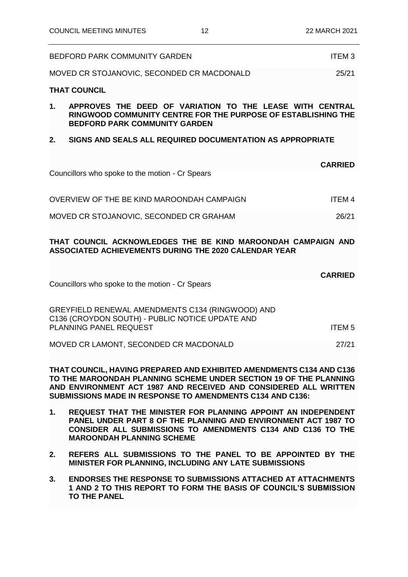|    | <b>BEDFORD PARK COMMUNITY GARDEN</b>                                                                                                                              | <b>ITEM3</b>   |
|----|-------------------------------------------------------------------------------------------------------------------------------------------------------------------|----------------|
|    | MOVED CR STOJANOVIC, SECONDED CR MACDONALD                                                                                                                        | 25/21          |
|    | <b>THAT COUNCIL</b>                                                                                                                                               |                |
| 1. | APPROVES THE DEED OF VARIATION TO THE LEASE WITH CENTRAL<br>RINGWOOD COMMUNITY CENTRE FOR THE PURPOSE OF ESTABLISHING THE<br><b>BEDFORD PARK COMMUNITY GARDEN</b> |                |
| 2. | SIGNS AND SEALS ALL REQUIRED DOCUMENTATION AS APPROPRIATE                                                                                                         |                |
|    | Councillors who spoke to the motion - Cr Spears                                                                                                                   | <b>CARRIED</b> |
|    | OVERVIEW OF THE BE KIND MAROONDAH CAMPAIGN                                                                                                                        | <b>ITEM4</b>   |
|    | MOVED CR STOJANOVIC, SECONDED CR GRAHAM                                                                                                                           | 26/21          |
|    | THAT COUNCIL ACKNOWLEDGES THE BE KIND MAROONDAH CAMPAIGN AND<br><b>ASSOCIATED ACHIEVEMENTS DURING THE 2020 CALENDAR YEAR</b>                                      |                |
|    | Councillors who spoke to the motion - Cr Spears                                                                                                                   | <b>CARRIED</b> |
|    | GREYFIELD RENEWAL AMENDMENTS C134 (RINGWOOD) AND<br>C136 (CROYDON SOUTH) - PUBLIC NOTICE UPDATE AND<br>PLANNING PANEL REQUEST                                     | <b>ITEM5</b>   |

MOVED CR LAMONT, SECONDED CR MACDONALD

**THAT COUNCIL, HAVING PREPARED AND EXHIBITED AMENDMENTS C134 AND C136 TO THE MAROONDAH PLANNING SCHEME UNDER SECTION 19 OF THE PLANNING AND ENVIRONMENT ACT 1987 AND RECEIVED AND CONSIDERED ALL WRITTEN SUBMISSIONS MADE IN RESPONSE TO AMENDMENTS C134 AND C136:**

- **1. REQUEST THAT THE MINISTER FOR PLANNING APPOINT AN INDEPENDENT PANEL UNDER PART 8 OF THE PLANNING AND ENVIRONMENT ACT 1987 TO CONSIDER ALL SUBMISSIONS TO AMENDMENTS C134 AND C136 TO THE MAROONDAH PLANNING SCHEME**
- **2. REFERS ALL SUBMISSIONS TO THE PANEL TO BE APPOINTED BY THE MINISTER FOR PLANNING, INCLUDING ANY LATE SUBMISSIONS**
- **3. ENDORSES THE RESPONSE TO SUBMISSIONS ATTACHED AT ATTACHMENTS 1 AND 2 TO THIS REPORT TO FORM THE BASIS OF COUNCIL'S SUBMISSION TO THE PANEL**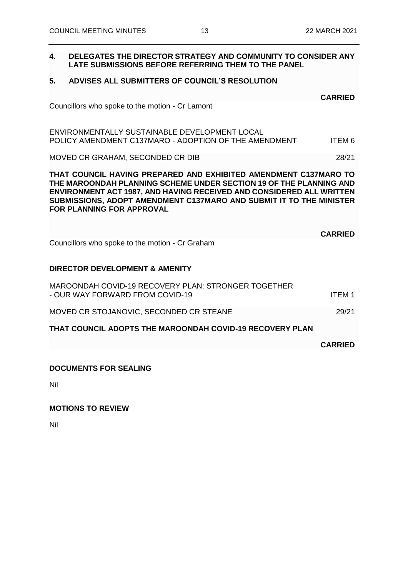## **4. DELEGATES THE DIRECTOR STRATEGY AND COMMUNITY TO CONSIDER ANY LATE SUBMISSIONS BEFORE REFERRING THEM TO THE PANEL**

## **5. ADVISES ALL SUBMITTERS OF COUNCIL'S RESOLUTION**

| Councillors who spoke to the motion - Cr Lamont |  |  |  |
|-------------------------------------------------|--|--|--|
|                                                 |  |  |  |
|                                                 |  |  |  |

ENVIRONMENTALLY SUSTAINABLE DEVELOPMENT LOCAL POLICY AMENDMENT C137MARO - ADOPTION OF THE AMENDMENT ITEM 6

MOVED CR GRAHAM, SECONDED CR DIB 28/21

**THAT COUNCIL HAVING PREPARED AND EXHIBITED AMENDMENT C137MARO TO THE MAROONDAH PLANNING SCHEME UNDER SECTION 19 OF THE PLANNING AND ENVIRONMENT ACT 1987, AND HAVING RECEIVED AND CONSIDERED ALL WRITTEN SUBMISSIONS, ADOPT AMENDMENT C137MARO AND SUBMIT IT TO THE MINISTER FOR PLANNING FOR APPROVAL**

Councillors who spoke to the motion - Cr Graham

## **DIRECTOR DEVELOPMENT & AMENITY**

| THAT COUNCIL ADOPTS THE MAROONDAH COVID-19 RECOVERY PLAN                               |               |
|----------------------------------------------------------------------------------------|---------------|
| MOVED CR STOJANOVIC, SECONDED CR STEANE                                                | 29/21         |
| MAROONDAH COVID-19 RECOVERY PLAN: STRONGER TOGETHER<br>- OUR WAY FORWARD FROM COVID-19 | <b>ITEM 1</b> |

**CARRIED**

**CARRIED**

## **DOCUMENTS FOR SEALING**

Nil

## **MOTIONS TO REVIEW**

Nil

**CARRIED**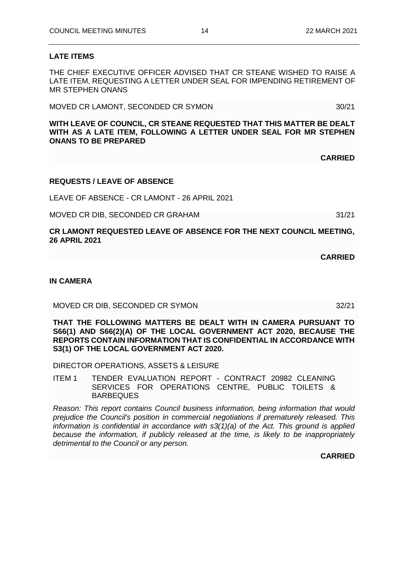## **LATE ITEMS**

THE CHIEF EXECUTIVE OFFICER ADVISED THAT CR STEANE WISHED TO RAISE A LATE ITEM, REQUESTING A LETTER UNDER SEAL FOR IMPENDING RETIREMENT OF MR STEPHEN ONANS

MOVED CR LAMONT, SECONDED CR SYMON 30/21

**WITH LEAVE OF COUNCIL, CR STEANE REQUESTED THAT THIS MATTER BE DEALT WITH AS A LATE ITEM, FOLLOWING A LETTER UNDER SEAL FOR MR STEPHEN ONANS TO BE PREPARED**

## **REQUESTS / LEAVE OF ABSENCE**

LEAVE OF ABSENCE - CR LAMONT - 26 APRIL 2021

MOVED CR DIB, SECONDED CR GRAHAM 31/21

**CR LAMONT REQUESTED LEAVE OF ABSENCE FOR THE NEXT COUNCIL MEETING, 26 APRIL 2021**

**IN CAMERA**

MOVED CR DIB, SECONDED CR SYMON 32/21

**THAT THE FOLLOWING MATTERS BE DEALT WITH IN CAMERA PURSUANT TO S66(1) AND S66(2)(A) OF THE LOCAL GOVERNMENT ACT 2020, BECAUSE THE REPORTS CONTAIN INFORMATION THAT IS CONFIDENTIAL IN ACCORDANCE WITH S3(1) OF THE LOCAL GOVERNMENT ACT 2020.**

DIRECTOR OPERATIONS, ASSETS & LEISURE

ITEM 1 TENDER EVALUATION REPORT - CONTRACT 20982 CLEANING SERVICES FOR OPERATIONS CENTRE, PUBLIC TOILETS & BARBEQUES

*Reason: This report contains Council business information, being information that would prejudice the Council's position in commercial negotiations if prematurely released. This information is confidential in accordance with s3(1)(a) of the Act. This ground is applied because the information, if publicly released at the time, is likely to be inappropriately detrimental to the Council or any person.*

**CARRIED**

**CARRIED**

**CARRIED**